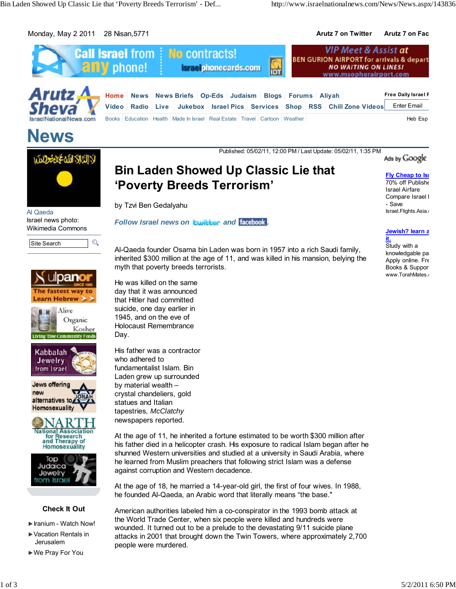Monday, May 2 2011 28 Nisan,5771 **Arutz 7 on Twitter Arutz 7 on Fac**



**News**

Published: 05/02/11, 12:00 PM / Last Update: 05/02/11, 1:35 PM

Ads by Google



Al Qaeda Israel news photo: Wikimedia Commons















### **Check It Out**

- ►Iranium Watch Now!
- ►Vacation Rentals in Jerusalem
- ►We Pray For You

**Bin Laden Showed Up Classic Lie that 'Poverty Breeds Terrorism'**

by Tzvi Ben Gedalyahu

**Follow Israel news on Lwitter and Facebook.** 

Al-Qaeda founder Osama bin Laden was born in 1957 into a rich Saudi family, inherited \$300 million at the age of 11, and was killed in his mansion, belying the myth that poverty breeds terrorists.

He was killed on the same day that it was announced that Hitler had committed suicide, one day earlier in 1945, and on the eve of Holocaust Remembrance Day.

His father was a contractor who adhered to fundamentalist Islam. Bin Laden grew up surrounded by material wealth – crystal chandeliers, gold statues and Italian tapestries, *McClatchy* newspapers reported.

At the age of 11, he inherited a fortune estimated to be worth \$300 million after his father died in a helicopter crash. His exposure to radical Islam began after he shunned Western universities and studied at a university in Saudi Arabia, where he learned from Muslim preachers that following strict Islam was a defense against corruption and Western decadence.

At the age of 18, he married a 14-year-old girl, the first of four wives. In 1988, he founded Al-Qaeda, an Arabic word that literally means "the base."

American authorities labeled him a co-conspirator in the 1993 bomb attack at the World Trade Center, when six people were killed and hundreds were wounded. It turned out to be a prelude to the devastating 9/11 suicide plane attacks in 2001 that brought down the Twin Towers, where approximately 2,700 people were murdered.

**Fly Cheap to Isr** 70% off Publishe Israel Airfare Compare Israel I - Save Israel.Flights.Asia.c

**Jewish? learn a it.**

Study with a knowledgable pa Apply online. Fre Books & Suppor www.TorahMates.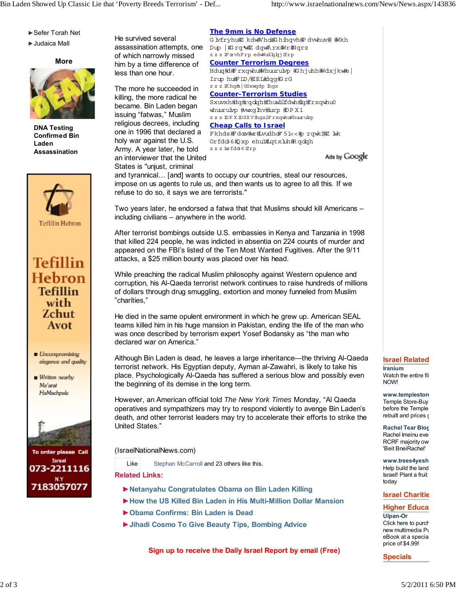- ►Sefer Torah Net
- ►Judaica Mall

**More**



**DNA Testing Confirmed Bin Laden Assassination**







Written nearby Me'arat HaMachpela





He survived several of which narrowly missed him by a time difference of less than one hour.

The more he succeeded in killing, the more radical he became. Bin Laden began issuing "fatwas," Muslim religious decrees, including one in 1996 that declared a holy war against the U.S. Army. A year later, he told an interviewer that the United States is "unjust, criminal

# **The 9mm is No Defense**

assassination attempts, one Dup |#rq\*#Zdqw#\rx#Nr#Nqrz G by fryhu枢 k dw#V hai#G h ihqvh #P d vwhuv#) #Wkh z z z lForvhFrp edwWudkzhjlfrp **Counter Terrorism Degrees** Holug#d#Frxqwhu#Whuurulvp #Ghjuhh#Wdxjkw#e Irup hu邯 ID/#EL#dqq#GrG z z z lKhqda | 0Sxwqdp lhgx **Counter-Terrorism Studies**

Sxuvxh#dq#rqdqh#fhuwlilfdwh#lq#frxqwhu0 whuurukop #wxglhv#iurp #DPX1  $z$  z  $z$  IDP X IDSX V lhgx2F  $rx$ qwhuWhuuruk $p$ **Cheap Calls to Israel** Fkhds#Fdoor#wr#wudhd#51<<#prqwk#Z M k Orfdo3 6#O xp ehul#Lqtxluh#R qolqh

zzzlorfdo361frp

Ads by Google

and tyrannical… [and] wants to occupy our countries, steal our resources, impose on us agents to rule us, and then wants us to agree to all this. If we refuse to do so, it says we are terrorists."

Two years later, he endorsed a fatwa that that Muslims should kill Americans – including civilians – anywhere in the world.

After terrorist bombings outside U.S. embassies in Kenya and Tanzania in 1998 that killed 224 people, he was indicted in absentia on 224 counts of murder and appeared on the FBI's listed of the Ten Most Wanted Fugitives. After the 9/11 attacks, a \$25 million bounty was placed over his head.

While preaching the radical Muslim philosophy against Western opulence and corruption, his Al-Qaeda terrorist network continues to raise hundreds of millions of dollars through drug smuggling, extortion and money funneled from Muslim "charities,"

He died in the same opulent environment in which he grew up. American SEAL teams killed him in his huge mansion in Pakistan, ending the life of the man who was once described by terrorism expert Yosef Bodansky as "the man who declared war on America."

Although Bin Laden is dead, he leaves a large inheritance—the thriving Al-Qaeda terrorist network. His Egyptian deputy, Ayman al-Zawahri, is likely to take his place. Psychologically Al-Qaeda has suffered a serious blow and possibly even the beginning of its demise in the long term.

However, an American official told *The New York Times* Monday, "Al Qaeda operatives and sympathizers may try to respond violently to avenge Bin Laden's death, and other terrorist leaders may try to accelerate their efforts to strike the United States."

(IsraelNationalNews.com)

Like Stephan McCarroll and 23 others like this.

**Related Links:**

- ►**Netanyahu Congratulates Obama on Bin Laden Killing**
- ►**How the US Killed Bin Laden in His Multi-Million Dollar Mansion**
- ►**Obama Confirms: Bin Laden is Dead**
- ►**Jihadi Cosmo To Give Beauty Tips, Bombing Advice**

**Sign up to receive the Daily Israel Report by email (Free)**

#### **Israel Related**

**Iranium** Watch the entire fil NOW!

# **www.templestore** Temple Store-Buy

before the Temple rebuilt and prices o

#### **Rachel Tear Blog** Rachel Imeinu even

RCRF majority own 'Beit BneiRachel'

# **www.trees4yesh**

Help build the land Israel! Plant a fruit today

#### **Israel Charitie**

**Higher Educa Ulpan-Or** Click here to purch new multimedia Pu eBook at a specia

price of \$4.99! **Specials**